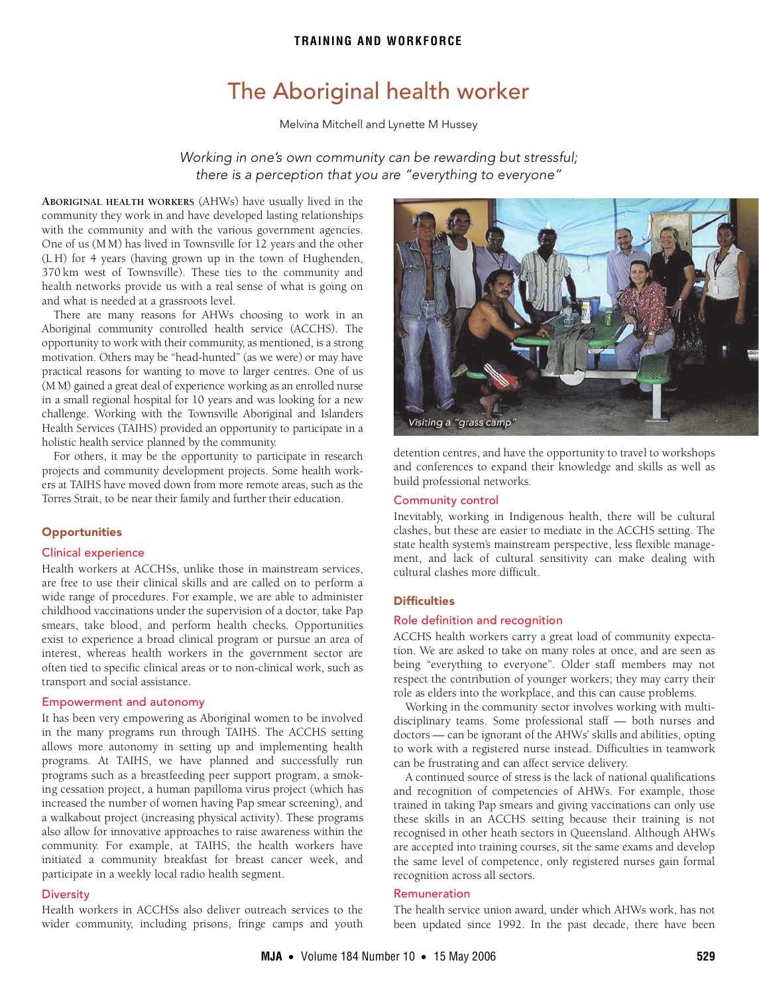# **TRAINING AND WORKFORCE**

# The Aboriginal health worker

Melvina Mitchell and Lynette M Hussey

Working in one's own community can be rewarding but stressful; there is a perception that you are "everything to everyone"

<span id="page-0-0"></span>health networks provide us with a real sense of what is going on and what is needed at a grassro[ots level.](#page-0-0) **ABORIGINAL HEALTH WORKERS** (AHWs) have usually lived in the community they work in and have developed lasting relationships with the community and with the various government agencies. One of us (M M) has lived in Townsville for 12 years and the other (L H) for 4 years (having grown up in the town of Hughenden, 370 km west of Townsville). These ties to the community and

There are many reasons for AHWs choosing to work in an Aboriginal community controlled health service (ACCHS). The opportunity to work with their community, as mentioned, is a strong motivation. Others may be "head-hunted" (as we were) or may have practical reasons for wanting to move to larger centres. One of us (M M) gained a great deal of experience working as an enrolled nurse in a small regional hospital for 10 years and was looking for a new challenge. Working with the Townsville Aboriginal and Islanders Health Services (TAIHS) provided an opportunity to participate in a holistic health service planned by the community.

For others, it may be the opportunity to participate in research projects and community development projects. Some health workers at TAIHS have moved down from more remote areas, such as the Torres Strait, to be near their family and further their education.

## **Opportunities**

#### Clinical experience

Health workers at ACCHSs, unlike those in mainstream services, are free to use their clinical skills and are called on to perform a wide range of procedures. For example, we are able to administer childhood vaccinations under the supervision of a doctor, take Pap smears, take blood, and perform health checks. Opportunities exist to experience a broad clinical program or pursue an area of interest, whereas health workers in the government sector are often tied to specific clinical areas or to non-clinical work, such as transport and social assistance.

## Empowerment and autonomy

It has been very empowering as Aboriginal women to be involved in the many programs run through TAIHS. The ACCHS setting allows more autonomy in setting up and implementing health programs. At TAIHS, we have planned and successfully run programs such as a breastfeeding peer support program, a smoking cessation project, a human papilloma virus project (which has increased the number of women having Pap smear screening), and a walkabout project (increasing physical activity). These programs also allow for innovative approaches to raise awareness within the community. For example, at TAIHS, the health workers have initiated a community breakfast for breast cancer week, and participate in a weekly local radio health segment.

#### **Diversity**

Health workers in ACCHSs also deliver outreach services to the wider community, including prisons, fringe camps and youth



detention centres, and have the opportunity to travel to workshops and conferences to expand their knowledge and skills as well as build professional networks.

#### Community control

Inevitably, working in Indigenous health, there will be cultural clashes, but these are easier to mediate in the ACCHS setting. The state health system's mainstream perspective, less flexible management, and lack of cultural sensitivity can make dealing with cultural clashes more difficult.

## **Difficulties**

#### Role definition and recognition

ACCHS health workers carry a great load of community expectation. We are asked to take on many roles at once, and are seen as being "everything to everyone". Older staff members may not respect the contribution of younger workers; they may carry their role as elders into the workplace, and this can cause problems.

Working in the community sector involves working with multidisciplinary teams. Some professional staff — both nurses and doctors — can be ignorant of the AHWs' skills and abilities, opting to work with a registered nurse instead. Difficulties in teamwork can be frustrating and can affect service delivery.

A continued source of stress is the lack of national qualifications and recognition of competencies of AHWs. For example, those trained in taking Pap smears and giving vaccinations can only use these skills in an ACCHS setting because their training is not recognised in other heath sectors in Queensland. Although AHWs are accepted into training courses, sit the same exams and develop the same level of competence, only registered nurses gain formal recognition across all sectors.

#### Remuneration

The health service union award, under which AHWs work, has not been updated since 1992. In the past decade, there have been